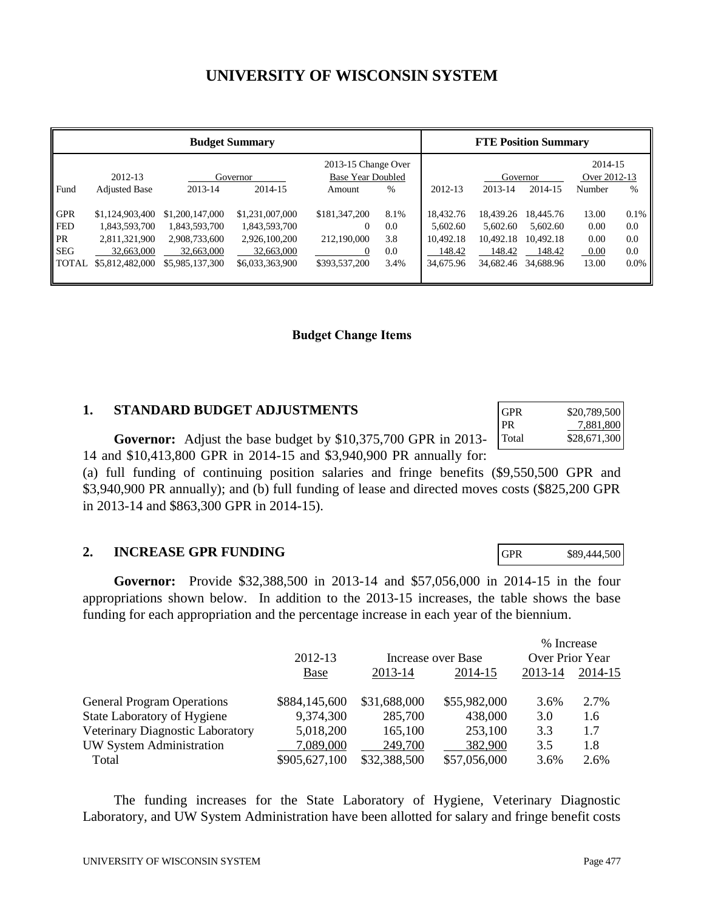# **UNIVERSITY OF WISCONSIN SYSTEM**

| <b>Budget Summary</b>                                               |                                                                                    |                                                                                    |                                                                                    | <b>FTE Position Summary</b>                                           |                                   |                                                           |                                                           |                                                           |                                        |                                      |
|---------------------------------------------------------------------|------------------------------------------------------------------------------------|------------------------------------------------------------------------------------|------------------------------------------------------------------------------------|-----------------------------------------------------------------------|-----------------------------------|-----------------------------------------------------------|-----------------------------------------------------------|-----------------------------------------------------------|----------------------------------------|--------------------------------------|
|                                                                     | 2012-13                                                                            | Governor                                                                           |                                                                                    | 2013-15 Change Over<br>Base Year Doubled                              |                                   |                                                           | Governor                                                  |                                                           | 2014-15<br>Over 2012-13                |                                      |
| Fund                                                                | <b>Adjusted Base</b>                                                               | 2013-14                                                                            | 2014-15                                                                            | Amount                                                                | $\%$                              | 2012-13                                                   | 2013-14                                                   | 2014-15                                                   | Number                                 | $\%$                                 |
| <b>GPR</b><br><b>FED</b><br><b>PR</b><br><b>SEG</b><br><b>TOTAL</b> | \$1,124,903,400<br>1,843,593,700<br>2,811,321,900<br>32,663,000<br>\$5,812,482,000 | \$1,200,147,000<br>1,843,593,700<br>2,908,733,600<br>32,663,000<br>\$5,985,137,300 | \$1,231,007,000<br>1,843,593,700<br>2,926,100,200<br>32,663,000<br>\$6,033,363,900 | \$181,347,200<br>$\Omega$<br>212,190,000<br>$\Omega$<br>\$393,537,200 | 8.1%<br>0.0<br>3.8<br>0.0<br>3.4% | 18.432.76<br>5.602.60<br>10,492.18<br>148.42<br>34,675.96 | 18.439.26<br>5.602.60<br>10,492.18<br>148.42<br>34,682.46 | 18,445.76<br>5.602.60<br>10.492.18<br>148.42<br>34,688.96 | 13.00<br>0.00<br>0.00<br>0.00<br>13.00 | 0.1%<br>0.0<br>0.0<br>0.0<br>$0.0\%$ |

#### **Budget Change Items**

## **1. STANDARD BUDGET ADJUSTMENTS**

**Governor:** Adjust the base budget by \$10,375,700 GPR in 2013- 14 and \$10,413,800 GPR in 2014-15 and \$3,940,900 PR annually for:

(a) full funding of continuing position salaries and fringe benefits (\$9,550,500 GPR and \$3,940,900 PR annually); and (b) full funding of lease and directed moves costs (\$825,200 GPR in 2013-14 and \$863,300 GPR in 2014-15).

#### **2. INCREASE GPR FUNDING**

**Governor:** Provide \$32,388,500 in 2013-14 and \$57,056,000 in 2014-15 in the four appropriations shown below. In addition to the 2013-15 increases, the table shows the base funding for each appropriation and the percentage increase in each year of the biennium.

|                                   |               |              |                    | % Increase      |         |  |
|-----------------------------------|---------------|--------------|--------------------|-----------------|---------|--|
|                                   | 2012-13       |              | Increase over Base | Over Prior Year |         |  |
|                                   | <b>Base</b>   | 2013-14      | 2014-15            | 2013-14         | 2014-15 |  |
| <b>General Program Operations</b> | \$884,145,600 | \$31,688,000 | \$55,982,000       | 3.6%            | 2.7%    |  |
| State Laboratory of Hygiene       | 9,374,300     | 285,700      | 438,000            | 3.0             | 1.6     |  |
| Veterinary Diagnostic Laboratory  | 5,018,200     | 165,100      | 253,100            | 3.3             | 1.7     |  |
| UW System Administration          | 7,089,000     | 249,700      | 382,900            | 3.5             | 1.8     |  |
| Total                             | \$905,627,100 | \$32,388,500 | \$57,056,000       | 3.6%            | 2.6%    |  |

 The funding increases for the State Laboratory of Hygiene, Veterinary Diagnostic Laboratory, and UW System Administration have been allotted for salary and fringe benefit costs

| GPR   | $$20,789,500$<br>7,881,800 |
|-------|----------------------------|
| PR.   |                            |
| Total | \$28,671,300               |

GPR \$89,444,500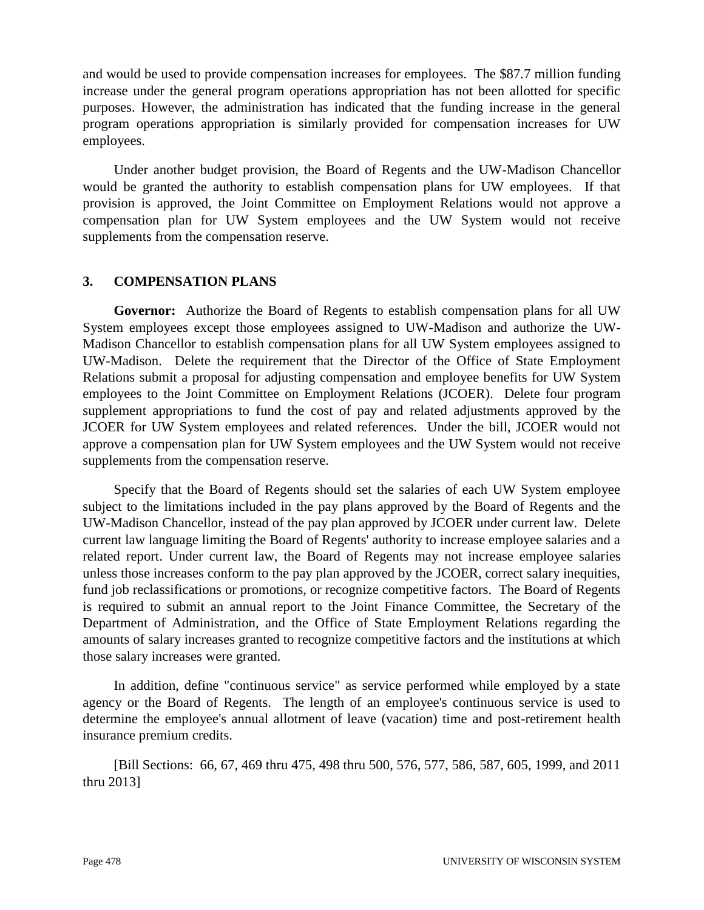and would be used to provide compensation increases for employees. The \$87.7 million funding increase under the general program operations appropriation has not been allotted for specific purposes. However, the administration has indicated that the funding increase in the general program operations appropriation is similarly provided for compensation increases for UW employees.

 Under another budget provision, the Board of Regents and the UW-Madison Chancellor would be granted the authority to establish compensation plans for UW employees. If that provision is approved, the Joint Committee on Employment Relations would not approve a compensation plan for UW System employees and the UW System would not receive supplements from the compensation reserve.

## **3. COMPENSATION PLANS**

**Governor:** Authorize the Board of Regents to establish compensation plans for all UW System employees except those employees assigned to UW-Madison and authorize the UW-Madison Chancellor to establish compensation plans for all UW System employees assigned to UW-Madison. Delete the requirement that the Director of the Office of State Employment Relations submit a proposal for adjusting compensation and employee benefits for UW System employees to the Joint Committee on Employment Relations (JCOER). Delete four program supplement appropriations to fund the cost of pay and related adjustments approved by the JCOER for UW System employees and related references. Under the bill, JCOER would not approve a compensation plan for UW System employees and the UW System would not receive supplements from the compensation reserve.

 Specify that the Board of Regents should set the salaries of each UW System employee subject to the limitations included in the pay plans approved by the Board of Regents and the UW-Madison Chancellor, instead of the pay plan approved by JCOER under current law. Delete current law language limiting the Board of Regents' authority to increase employee salaries and a related report. Under current law, the Board of Regents may not increase employee salaries unless those increases conform to the pay plan approved by the JCOER, correct salary inequities, fund job reclassifications or promotions, or recognize competitive factors. The Board of Regents is required to submit an annual report to the Joint Finance Committee, the Secretary of the Department of Administration, and the Office of State Employment Relations regarding the amounts of salary increases granted to recognize competitive factors and the institutions at which those salary increases were granted.

 In addition, define "continuous service" as service performed while employed by a state agency or the Board of Regents. The length of an employee's continuous service is used to determine the employee's annual allotment of leave (vacation) time and post-retirement health insurance premium credits.

 [Bill Sections: 66, 67, 469 thru 475, 498 thru 500, 576, 577, 586, 587, 605, 1999, and 2011 thru 2013]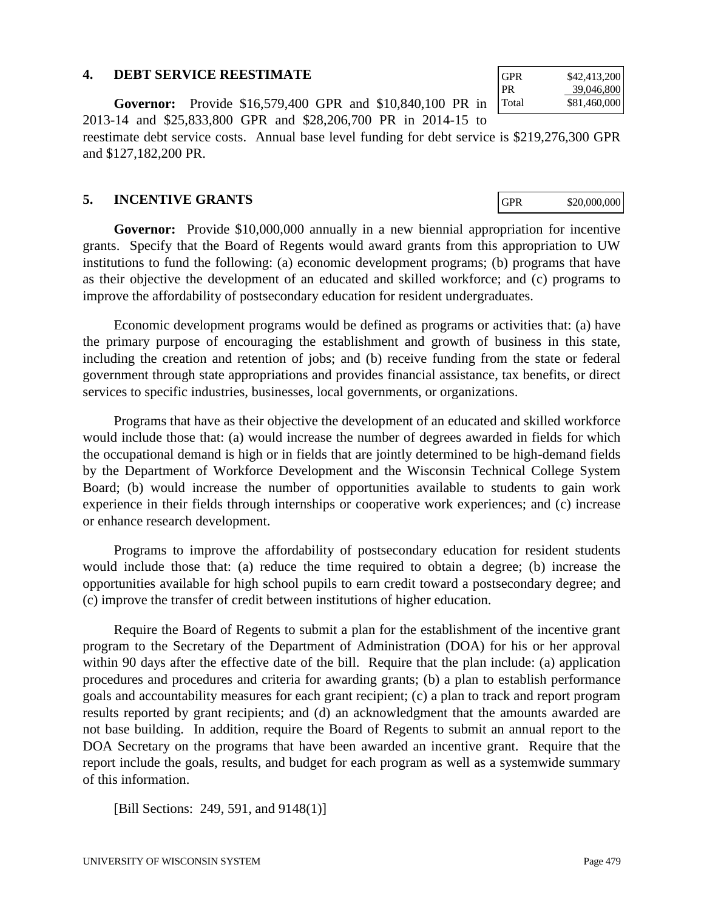#### **4. DEBT SERVICE REESTIMATE**

**Governor:** Provide \$16,579,400 GPR and \$10,840,100 PR in 2013-14 and \$25,833,800 GPR and \$28,206,700 PR in 2014-15 to

reestimate debt service costs. Annual base level funding for debt service is \$219,276,300 GPR and \$127,182,200 PR.

#### **5. INCENTIVE GRANTS**

**Governor:** Provide \$10,000,000 annually in a new biennial appropriation for incentive grants. Specify that the Board of Regents would award grants from this appropriation to UW institutions to fund the following: (a) economic development programs; (b) programs that have as their objective the development of an educated and skilled workforce; and (c) programs to improve the affordability of postsecondary education for resident undergraduates.

 Economic development programs would be defined as programs or activities that: (a) have the primary purpose of encouraging the establishment and growth of business in this state, including the creation and retention of jobs; and (b) receive funding from the state or federal government through state appropriations and provides financial assistance, tax benefits, or direct services to specific industries, businesses, local governments, or organizations.

 Programs that have as their objective the development of an educated and skilled workforce would include those that: (a) would increase the number of degrees awarded in fields for which the occupational demand is high or in fields that are jointly determined to be high-demand fields by the Department of Workforce Development and the Wisconsin Technical College System Board; (b) would increase the number of opportunities available to students to gain work experience in their fields through internships or cooperative work experiences; and (c) increase or enhance research development.

 Programs to improve the affordability of postsecondary education for resident students would include those that: (a) reduce the time required to obtain a degree; (b) increase the opportunities available for high school pupils to earn credit toward a postsecondary degree; and (c) improve the transfer of credit between institutions of higher education.

 Require the Board of Regents to submit a plan for the establishment of the incentive grant program to the Secretary of the Department of Administration (DOA) for his or her approval within 90 days after the effective date of the bill. Require that the plan include: (a) application procedures and procedures and criteria for awarding grants; (b) a plan to establish performance goals and accountability measures for each grant recipient; (c) a plan to track and report program results reported by grant recipients; and (d) an acknowledgment that the amounts awarded are not base building. In addition, require the Board of Regents to submit an annual report to the DOA Secretary on the programs that have been awarded an incentive grant. Require that the report include the goals, results, and budget for each program as well as a systemwide summary of this information.

[Bill Sections: 249, 591, and 9148(1)]

| GPR   | \$42,413,200 |
|-------|--------------|
| PR.   | 39,046,800   |
| Total | \$81,460,000 |

GPR \$20,000,000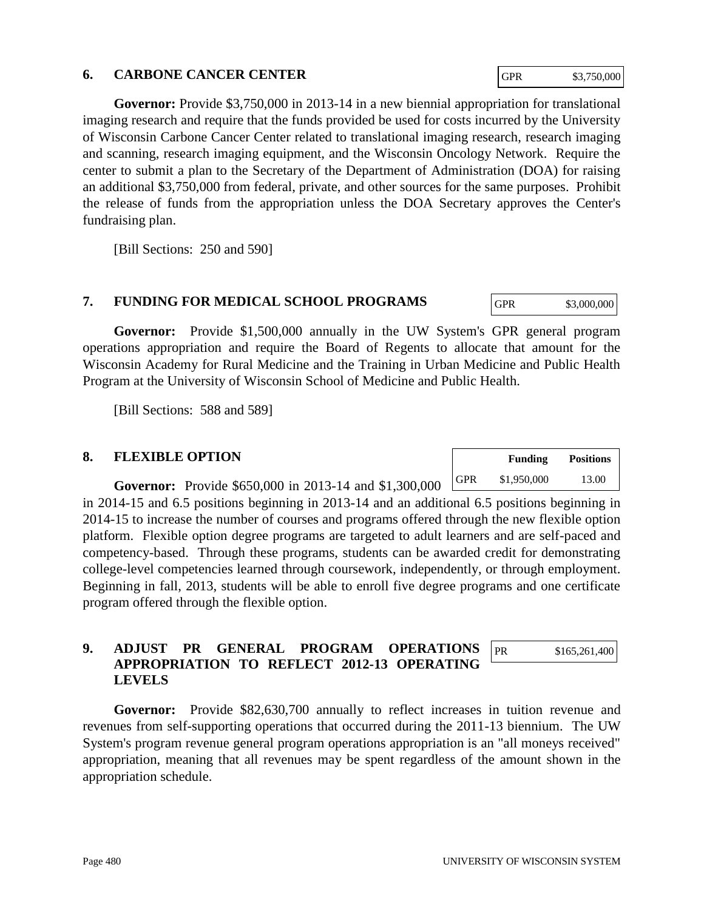#### **6. CARBONE CANCER CENTER**

**Governor:** Provide \$3,750,000 in 2013-14 in a new biennial appropriation for translational imaging research and require that the funds provided be used for costs incurred by the University of Wisconsin Carbone Cancer Center related to translational imaging research, research imaging and scanning, research imaging equipment, and the Wisconsin Oncology Network. Require the center to submit a plan to the Secretary of the Department of Administration (DOA) for raising an additional \$3,750,000 from federal, private, and other sources for the same purposes. Prohibit the release of funds from the appropriation unless the DOA Secretary approves the Center's fundraising plan.

[Bill Sections: 250 and 590]

## **7. FUNDING FOR MEDICAL SCHOOL PROGRAMS**

**Governor:** Provide \$1,500,000 annually in the UW System's GPR general program operations appropriation and require the Board of Regents to allocate that amount for the Wisconsin Academy for Rural Medicine and the Training in Urban Medicine and Public Health Program at the University of Wisconsin School of Medicine and Public Health.

[Bill Sections: 588 and 589]

#### **8. FLEXIBLE OPTION**

**Governor:** Provide \$650,000 in 2013-14 and \$1,300,000 |

in 2014-15 and 6.5 positions beginning in 2013-14 and an additional 6.5 positions beginning in 2014-15 to increase the number of courses and programs offered through the new flexible option platform. Flexible option degree programs are targeted to adult learners and are self-paced and competency-based. Through these programs, students can be awarded credit for demonstrating college-level competencies learned through coursework, independently, or through employment. Beginning in fall, 2013, students will be able to enroll five degree programs and one certificate program offered through the flexible option.

#### **9. ADJUST PR GENERAL PROGRAM OPERATIONS APPROPRIATION TO REFLECT 2012-13 OPERATING LEVELS**  PR \$165,261,400

**Governor:** Provide \$82,630,700 annually to reflect increases in tuition revenue and revenues from self-supporting operations that occurred during the 2011-13 biennium. The UW System's program revenue general program operations appropriation is an "all moneys received" appropriation, meaning that all revenues may be spent regardless of the amount shown in the appropriation schedule.

|            | <b>Funding</b> | <b>Positions</b> |  |  |
|------------|----------------|------------------|--|--|
| <b>GPR</b> | \$1,950,000    | 13.00            |  |  |

GPR \$3,000,000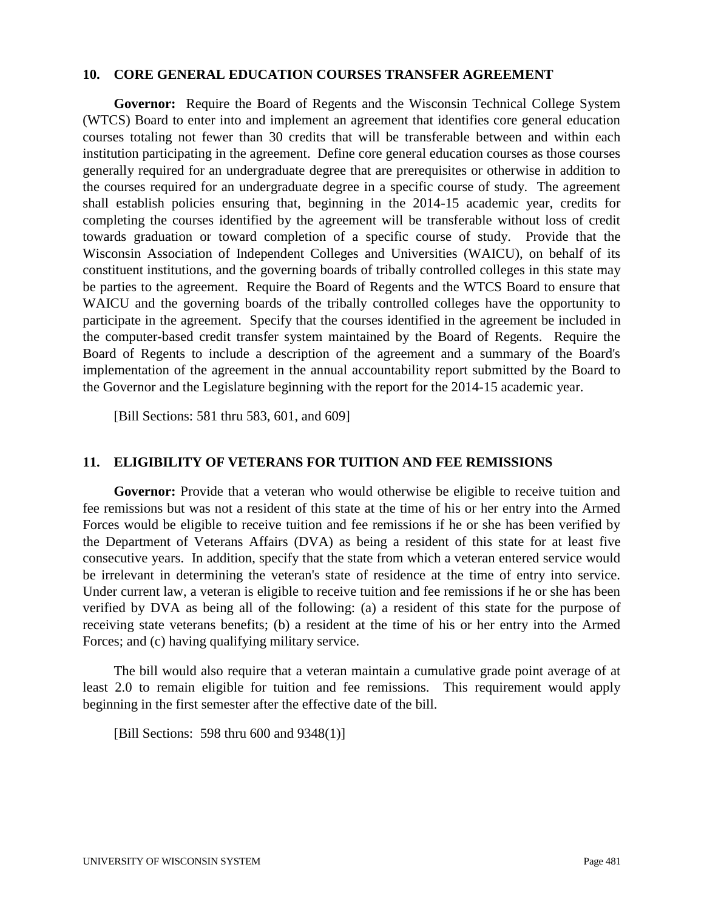#### **10. CORE GENERAL EDUCATION COURSES TRANSFER AGREEMENT**

**Governor:** Require the Board of Regents and the Wisconsin Technical College System (WTCS) Board to enter into and implement an agreement that identifies core general education courses totaling not fewer than 30 credits that will be transferable between and within each institution participating in the agreement. Define core general education courses as those courses generally required for an undergraduate degree that are prerequisites or otherwise in addition to the courses required for an undergraduate degree in a specific course of study. The agreement shall establish policies ensuring that, beginning in the 2014-15 academic year, credits for completing the courses identified by the agreement will be transferable without loss of credit towards graduation or toward completion of a specific course of study. Provide that the Wisconsin Association of Independent Colleges and Universities (WAICU), on behalf of its constituent institutions, and the governing boards of tribally controlled colleges in this state may be parties to the agreement. Require the Board of Regents and the WTCS Board to ensure that WAICU and the governing boards of the tribally controlled colleges have the opportunity to participate in the agreement. Specify that the courses identified in the agreement be included in the computer-based credit transfer system maintained by the Board of Regents. Require the Board of Regents to include a description of the agreement and a summary of the Board's implementation of the agreement in the annual accountability report submitted by the Board to the Governor and the Legislature beginning with the report for the 2014-15 academic year.

[Bill Sections: 581 thru 583, 601, and 609]

#### **11. ELIGIBILITY OF VETERANS FOR TUITION AND FEE REMISSIONS**

Governor: Provide that a veteran who would otherwise be eligible to receive tuition and fee remissions but was not a resident of this state at the time of his or her entry into the Armed Forces would be eligible to receive tuition and fee remissions if he or she has been verified by the Department of Veterans Affairs (DVA) as being a resident of this state for at least five consecutive years. In addition, specify that the state from which a veteran entered service would be irrelevant in determining the veteran's state of residence at the time of entry into service. Under current law, a veteran is eligible to receive tuition and fee remissions if he or she has been verified by DVA as being all of the following: (a) a resident of this state for the purpose of receiving state veterans benefits; (b) a resident at the time of his or her entry into the Armed Forces; and (c) having qualifying military service.

 The bill would also require that a veteran maintain a cumulative grade point average of at least 2.0 to remain eligible for tuition and fee remissions. This requirement would apply beginning in the first semester after the effective date of the bill.

[Bill Sections: 598 thru 600 and 9348(1)]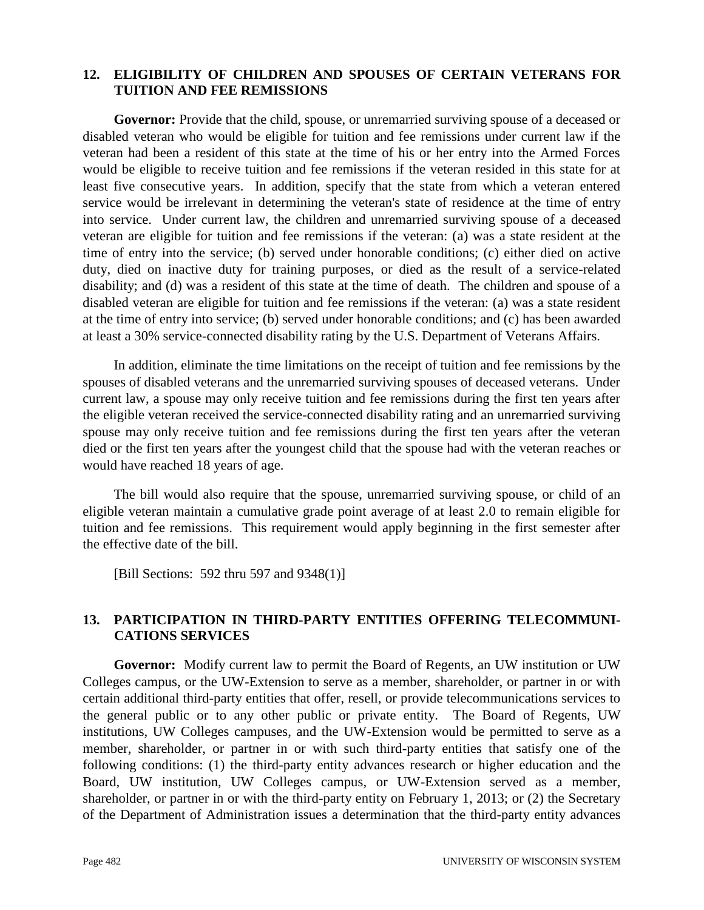#### **12. ELIGIBILITY OF CHILDREN AND SPOUSES OF CERTAIN VETERANS FOR TUITION AND FEE REMISSIONS**

**Governor:** Provide that the child, spouse, or unremarried surviving spouse of a deceased or disabled veteran who would be eligible for tuition and fee remissions under current law if the veteran had been a resident of this state at the time of his or her entry into the Armed Forces would be eligible to receive tuition and fee remissions if the veteran resided in this state for at least five consecutive years. In addition, specify that the state from which a veteran entered service would be irrelevant in determining the veteran's state of residence at the time of entry into service. Under current law, the children and unremarried surviving spouse of a deceased veteran are eligible for tuition and fee remissions if the veteran: (a) was a state resident at the time of entry into the service; (b) served under honorable conditions; (c) either died on active duty, died on inactive duty for training purposes, or died as the result of a service-related disability; and (d) was a resident of this state at the time of death. The children and spouse of a disabled veteran are eligible for tuition and fee remissions if the veteran: (a) was a state resident at the time of entry into service; (b) served under honorable conditions; and (c) has been awarded at least a 30% service-connected disability rating by the U.S. Department of Veterans Affairs.

 In addition, eliminate the time limitations on the receipt of tuition and fee remissions by the spouses of disabled veterans and the unremarried surviving spouses of deceased veterans. Under current law, a spouse may only receive tuition and fee remissions during the first ten years after the eligible veteran received the service-connected disability rating and an unremarried surviving spouse may only receive tuition and fee remissions during the first ten years after the veteran died or the first ten years after the youngest child that the spouse had with the veteran reaches or would have reached 18 years of age.

 The bill would also require that the spouse, unremarried surviving spouse, or child of an eligible veteran maintain a cumulative grade point average of at least 2.0 to remain eligible for tuition and fee remissions. This requirement would apply beginning in the first semester after the effective date of the bill.

[Bill Sections: 592 thru 597 and 9348(1)]

#### **13. PARTICIPATION IN THIRD-PARTY ENTITIES OFFERING TELECOMMUNI-CATIONS SERVICES**

**Governor:** Modify current law to permit the Board of Regents, an UW institution or UW Colleges campus, or the UW-Extension to serve as a member, shareholder, or partner in or with certain additional third-party entities that offer, resell, or provide telecommunications services to the general public or to any other public or private entity. The Board of Regents, UW institutions, UW Colleges campuses, and the UW-Extension would be permitted to serve as a member, shareholder, or partner in or with such third-party entities that satisfy one of the following conditions: (1) the third-party entity advances research or higher education and the Board, UW institution, UW Colleges campus, or UW-Extension served as a member, shareholder, or partner in or with the third-party entity on February 1, 2013; or (2) the Secretary of the Department of Administration issues a determination that the third-party entity advances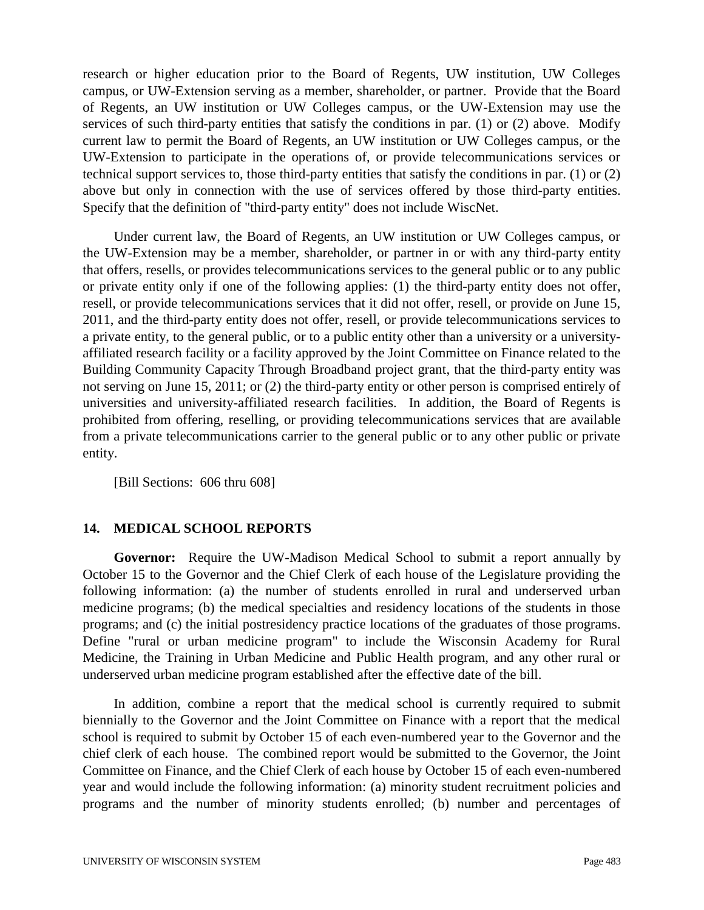research or higher education prior to the Board of Regents, UW institution, UW Colleges campus, or UW-Extension serving as a member, shareholder, or partner. Provide that the Board of Regents, an UW institution or UW Colleges campus, or the UW-Extension may use the services of such third-party entities that satisfy the conditions in par. (1) or (2) above. Modify current law to permit the Board of Regents, an UW institution or UW Colleges campus, or the UW-Extension to participate in the operations of, or provide telecommunications services or technical support services to, those third-party entities that satisfy the conditions in par. (1) or (2) above but only in connection with the use of services offered by those third-party entities. Specify that the definition of "third-party entity" does not include WiscNet.

 Under current law, the Board of Regents, an UW institution or UW Colleges campus, or the UW-Extension may be a member, shareholder, or partner in or with any third-party entity that offers, resells, or provides telecommunications services to the general public or to any public or private entity only if one of the following applies: (1) the third-party entity does not offer, resell, or provide telecommunications services that it did not offer, resell, or provide on June 15, 2011, and the third-party entity does not offer, resell, or provide telecommunications services to a private entity, to the general public, or to a public entity other than a university or a universityaffiliated research facility or a facility approved by the Joint Committee on Finance related to the Building Community Capacity Through Broadband project grant, that the third-party entity was not serving on June 15, 2011; or (2) the third-party entity or other person is comprised entirely of universities and university-affiliated research facilities. In addition, the Board of Regents is prohibited from offering, reselling, or providing telecommunications services that are available from a private telecommunications carrier to the general public or to any other public or private entity.

[Bill Sections: 606 thru 608]

#### **14. MEDICAL SCHOOL REPORTS**

**Governor:** Require the UW-Madison Medical School to submit a report annually by October 15 to the Governor and the Chief Clerk of each house of the Legislature providing the following information: (a) the number of students enrolled in rural and underserved urban medicine programs; (b) the medical specialties and residency locations of the students in those programs; and (c) the initial postresidency practice locations of the graduates of those programs. Define "rural or urban medicine program" to include the Wisconsin Academy for Rural Medicine, the Training in Urban Medicine and Public Health program, and any other rural or underserved urban medicine program established after the effective date of the bill.

 In addition, combine a report that the medical school is currently required to submit biennially to the Governor and the Joint Committee on Finance with a report that the medical school is required to submit by October 15 of each even-numbered year to the Governor and the chief clerk of each house. The combined report would be submitted to the Governor, the Joint Committee on Finance, and the Chief Clerk of each house by October 15 of each even-numbered year and would include the following information: (a) minority student recruitment policies and programs and the number of minority students enrolled; (b) number and percentages of